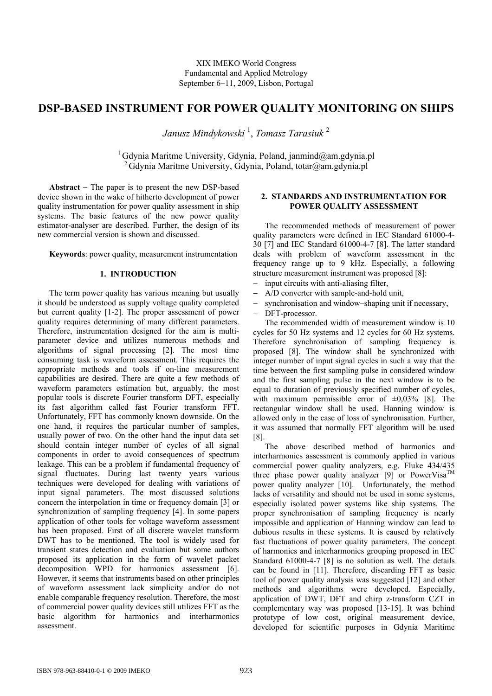XIX IMEKO World Congress Fundamental and Applied Metrology September 6−11, 2009, Lisbon, Portugal

# **DSP-BASED INSTRUMENT FOR POWER QUALITY MONITORING ON SHIPS**

*Janusz Mindykowski* <sup>1</sup> , *Tomasz Tarasiuk* <sup>2</sup>

<sup>1</sup> Gdynia Maritme University, Gdynia, Poland, janmind@am.gdynia.pl <sup>2</sup> Gdynia Maritme University, Gdynia, Poland, totar@am.gdynia.pl

**Abstract** − The paper is to present the new DSP-based device shown in the wake of hitherto development of power quality instrumentation for power quality assessment in ship systems. The basic features of the new power quality estimator-analyser are described. Further, the design of its new commercial version is shown and discussed.

**Keywords**: power quality, measurement instrumentation

# **1. INTRODUCTION**

The term power quality has various meaning but usually it should be understood as supply voltage quality completed but current quality [1-2]. The proper assessment of power quality requires determining of many different parameters. Therefore, instrumentation designed for the aim is multiparameter device and utilizes numerous methods and algorithms of signal processing [2]. The most time consuming task is waveform assessment. This requires the appropriate methods and tools if on-line measurement capabilities are desired. There are quite a few methods of waveform parameters estimation but, arguably, the most popular tools is discrete Fourier transform DFT, especially its fast algorithm called fast Fourier transform FFT. Unfortunately, FFT has commonly known downside. On the one hand, it requires the particular number of samples, usually power of two. On the other hand the input data set should contain integer number of cycles of all signal components in order to avoid consequences of spectrum leakage. This can be a problem if fundamental frequency of signal fluctuates. During last twenty years various techniques were developed for dealing with variations of input signal parameters. The most discussed solutions concern the interpolation in time or frequency domain [3] or synchronization of sampling frequency [4]. In some papers application of other tools for voltage waveform assessment has been proposed. First of all discrete wavelet transform DWT has to be mentioned. The tool is widely used for transient states detection and evaluation but some authors proposed its application in the form of wavelet packet decomposition WPD for harmonics assessment [6]. However, it seems that instruments based on other principles of waveform assessment lack simplicity and/or do not enable comparable frequency resolution. Therefore, the most of commercial power quality devices still utilizes FFT as the basic algorithm for harmonics and interharmonics assessment.

# **2. STANDARDS AND INSTRUMENTATION FOR POWER QUALITY ASSESSMENT**

The recommended methods of measurement of power quality parameters were defined in IEC Standard 61000-4- 30 [7] and IEC Standard 61000-4-7 [8]. The latter standard deals with problem of waveform assessment in the frequency range up to 9 kHz. Especially, a following structure measurement instrument was proposed [8]:

- input circuits with anti-aliasing filter,
- A/D converter with sample-and-hold unit,
- − synchronisation and window–shaping unit if necessary,
- − DFT-processor.

The recommended width of measurement window is 10 cycles for 50 Hz systems and 12 cycles for 60 Hz systems. Therefore synchronisation of sampling frequency is proposed [8]. The window shall be synchronized with integer number of input signal cycles in such a way that the time between the first sampling pulse in considered window and the first sampling pulse in the next window is to be equal to duration of previously specified number of cycles, with maximum permissible error of  $\pm 0.03\%$  [8]. The rectangular window shall be used. Hanning window is allowed only in the case of loss of synchronisation. Further, it was assumed that normally FFT algorithm will be used [8].

The above described method of harmonics and interharmonics assessment is commonly applied in various commercial power quality analyzers, e.g. Fluke 434/435 three phase power quality analyzer  $[9]$  or PowerVisa<sup>TM</sup> power quality analyzer [10]. Unfortunately, the method lacks of versatility and should not be used in some systems, especially isolated power systems like ship systems. The proper synchronisation of sampling frequency is nearly impossible and application of Hanning window can lead to dubious results in these systems. It is caused by relatively fast fluctuations of power quality parameters. The concept of harmonics and interharmonics grouping proposed in IEC Standard 61000-4-7 [8] is no solution as well. The details can be found in [11]. Therefore, discarding FFT as basic tool of power quality analysis was suggested [12] and other methods and algorithms were developed. Especially, application of DWT, DFT and chirp z-transform CZT in complementary way was proposed [13-15]. It was behind prototype of low cost, original measurement device, developed for scientific purposes in Gdynia Maritime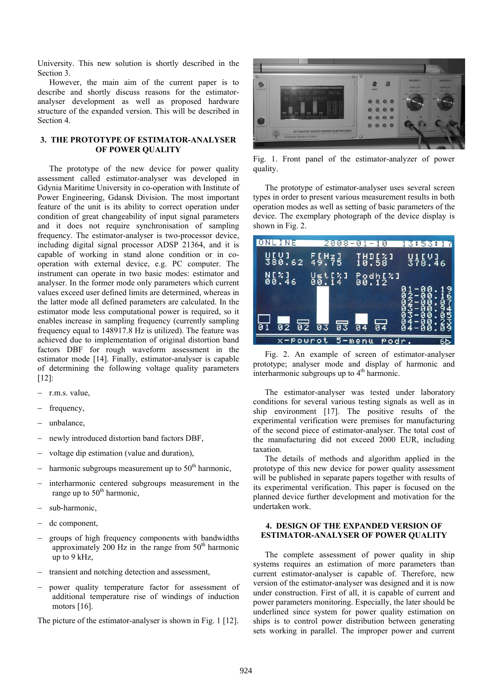University. This new solution is shortly described in the Section 3.

However, the main aim of the current paper is to describe and shortly discuss reasons for the estimatoranalyser development as well as proposed hardware structure of the expanded version. This will be described in Section 4.

# **3. THE PROTOTYPE OF ESTIMATOR-ANALYSER OF POWER QUALITY**

The prototype of the new device for power quality assessment called estimator-analyser was developed in Gdynia Maritime University in co-operation with Institute of Power Engineering, Gdansk Division. The most important feature of the unit is its ability to correct operation under condition of great changeability of input signal parameters and it does not require synchronisation of sampling frequency. The estimator-analyser is two-processor device, including digital signal processor ADSP 21364, and it is capable of working in stand alone condition or in cooperation with external device, e.g. PC computer. The instrument can operate in two basic modes: estimator and analyser. In the former mode only parameters which current values exceed user defined limits are determined, whereas in the latter mode all defined parameters are calculated. In the estimator mode less computational power is required, so it enables increase in sampling frequency (currently sampling frequency equal to 148917.8 Hz is utilized). The feature was achieved due to implementation of original distortion band factors DBF for rough waveform assessment in the estimator mode [14]. Finally, estimator-analyser is capable of determining the following voltage quality parameters [12]:

- − r.m.s. value,
- frequency,
- unbalance,
- newly introduced distortion band factors DBF,
- voltage dip estimation (value and duration),
- harmonic subgroups measurement up to  $50<sup>th</sup>$  harmonic,
- interharmonic centered subgroups measurement in the range up to  $50<sup>th</sup>$  harmonic,
- sub-harmonic,
- dc component.
- groups of high frequency components with bandwidths approximately 200 Hz in the range from  $50<sup>th</sup>$  harmonic up to 9 kHz,
- transient and notching detection and assessment,
- power quality temperature factor for assessment of additional temperature rise of windings of induction motors [16].

The picture of the estimator-analyser is shown in Fig. 1 [12].



Fig. 1. Front panel of the estimator-analyzer of power quality.

The prototype of estimator-analyser uses several screen types in order to present various measurement results in both operation modes as well as setting of basic parameters of the device. The exemplary photograph of the device display is shown in Fig. 2.

| 'N E                   | 2008-0                    | и                     | 13:53:<br>п     |
|------------------------|---------------------------|-----------------------|-----------------|
| U[U]<br>380.62         | $55 + 21$                 | THD[%]<br>10.58       | 방1[U]<br>378.46 |
| N[X] <sub>6</sub>      | $\frac{2}{4}$ ]<br>ម៉ូគ្ល | Podh[%]<br>00.12      |                 |
|                        |                           |                       | ã               |
| ট ই<br>$\overline{02}$ | ब्ड<br>Ø3                 | $\overline{04}$<br>04 | ğ               |
| x-Pourot               |                           | $5 -$ menu<br>Podr    |                 |

Fig. 2. An example of screen of estimator-analyser prototype; analyser mode and display of harmonic and interharmonic subgroups up to  $4<sup>th</sup>$  harmonic.

The estimator-analyser was tested under laboratory conditions for several various testing signals as well as in ship environment [17]. The positive results of the experimental verification were premises for manufacturing of the second piece of estimator-analyser. The total cost of the manufacturing did not exceed 2000 EUR, including taxation.

The details of methods and algorithm applied in the prototype of this new device for power quality assessment will be published in separate papers together with results of its experimental verification. This paper is focused on the planned device further development and motivation for the undertaken work.

#### **4. DESIGN OF THE EXPANDED VERSION OF ESTIMATOR-ANALYSER OF POWER QUALITY**

The complete assessment of power quality in ship systems requires an estimation of more parameters than current estimator-analyser is capable of. Therefore, new version of the estimator-analyser was designed and it is now under construction. First of all, it is capable of current and power parameters monitoring. Especially, the later should be underlined since system for power quality estimation on ships is to control power distribution between generating sets working in parallel. The improper power and current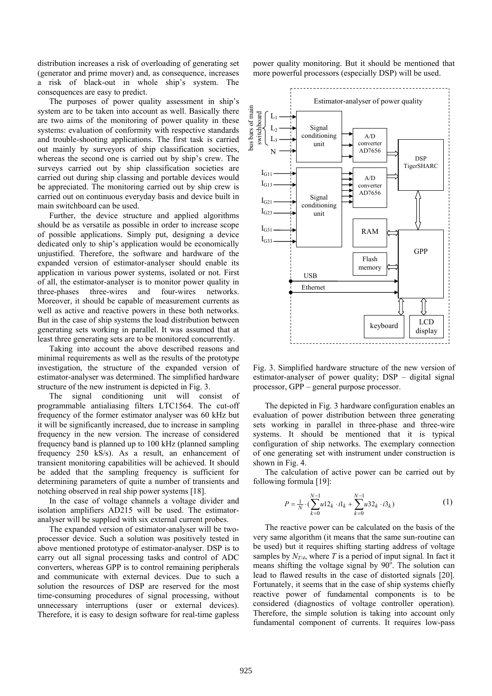distribution increases a risk of overloading of generating set (generator and prime mover) and, as consequence, increases a risk of black-out in whole ship's system. The consequences are easy to predict.

The purposes of power quality assessment in ship's system are to be taken into account as well. Basically there are two aims of the monitoring of power quality in these systems: evaluation of conformity with respective standards and trouble-shooting applications. The first task is carried out mainly by surveyors of ship classification societies, whereas the second one is carried out by ship's crew. The surveys carried out by ship classification societies are carried out during ship classing and portable devices would be appreciated. The monitoring carried out by ship crew is carried out on continuous everyday basis and device built in main switchboard can be used.

Further, the device structure and applied algorithms should be as versatile as possible in order to increase scope of possible applications. Simply put, designing a device dedicated only to ship's application would be economically unjustified. Therefore, the software and hardware of the expanded version of estimator-analyser should enable its application in various power systems, isolated or not. First of all, the estimator-analyser is to monitor power quality in three-phases three-wires and four-wires networks. Moreover, it should be capable of measurement currents as well as active and reactive powers in these both networks. But in the case of ship systems the load distribution between generating sets working in parallel. It was assumed that at least three generating sets are to be monitored concurrently.

Taking into account the above described reasons and minimal requirements as well as the results of the prototype investigation, the structure of the expanded version of estimator-analyser was determined. The simplified hardware structure of the new instrument is depicted in Fig. 3.

The signal conditioning unit will consist of programmable antialiasing filters LTC1564. The cut-off frequency of the former estimator analyser was 60 kHz but it will be significantly increased, due to increase in sampling frequency in the new version. The increase of considered frequency band is planned up to 100 kHz (planned sampling frequency 250 kS/s). As a result, an enhancement of transient monitoring capabilities will be achieved. It should be added that the sampling frequency is sufficient for determining parameters of quite a number of transients and notching observed in real ship power systems [18].

In the case of voltage channels a voltage divider and isolation amplifiers AD215 will be used. The estimatoranalyser will be supplied with six external current probes.

The expanded version of estimator-analyser will be twoprocessor device. Such a solution was positively tested in above mentioned prototype of estimator-analyser. DSP is to carry out all signal processing tasks and control of ADC converters, whereas GPP is to control remaining peripherals and communicate with external devices. Due to such a solution the resources of DSP are reserved for the most time-consuming procedures of signal processing, without unnecessary interruptions (user or external devices). Therefore, it is easy to design software for real-time gapless power quality monitoring. But it should be mentioned that more powerful processors (especially DSP) will be used.



Fig. 3. Simplified hardware structure of the new version of estimator-analyser of power quality; DSP – digital signal processor, GPP – general purpose processor.

The depicted in Fig. 3 hardware configuration enables an evaluation of power distribution between three generating sets working in parallel in three-phase and three-wire systems. It should be mentioned that it is typical configuration of ship networks. The exemplary connection of one generating set with instrument under construction is shown in Fig. 4.

The calculation of active power can be carried out by following formula [19]:

$$
P = \frac{1}{N} \cdot (\sum_{k=0}^{N-1} u 12_k \cdot i1_k + \sum_{k=0}^{N-1} u 32_k \cdot i3_k)
$$
 (1)

 The reactive power can be calculated on the basis of the very same algorithm (it means that the same sun-routine can be used) but it requires shifting starting address of voltage samples by  $N_{T/4}$ , where T is a period of input signal. In fact it means shifting the voltage signal by  $90^\circ$ . The solution can lead to flawed results in the case of distorted signals [20]. Fortunately, it seems that in the case of ship systems chiefly reactive power of fundamental components is to be considered (diagnostics of voltage controller operation). Therefore, the simple solution is taking into account only fundamental component of currents. It requires low-pass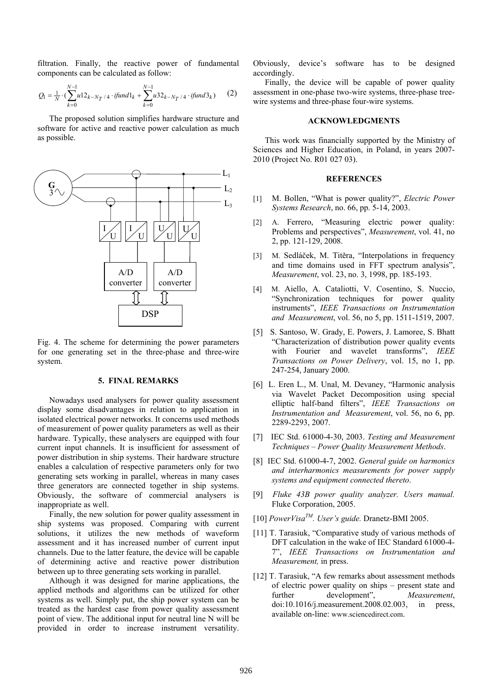filtration. Finally, the reactive power of fundamental components can be calculated as follow:

$$
Q_1 = \frac{1}{N} \cdot (\sum_{k=0}^{N-1} u 12_{k-N} / 4 \cdot \text{ifund1}_k + \sum_{k=0}^{N-1} u 32_{k-N} / 4 \cdot \text{ifund3}_k)
$$
 (2)

The proposed solution simplifies hardware structure and software for active and reactive power calculation as much as possible.



Fig. 4. The scheme for determining the power parameters for one generating set in the three-phase and three-wire system.

#### **5. FINAL REMARKS**

Nowadays used analysers for power quality assessment display some disadvantages in relation to application in isolated electrical power networks. It concerns used methods of measurement of power quality parameters as well as their hardware. Typically, these analysers are equipped with four current input channels. It is insufficient for assessment of power distribution in ship systems. Their hardware structure enables a calculation of respective parameters only for two generating sets working in parallel, whereas in many cases three generators are connected together in ship systems. Obviously, the software of commercial analysers is inappropriate as well.

Finally, the new solution for power quality assessment in ship systems was proposed. Comparing with current solutions, it utilizes the new methods of waveform assessment and it has increased number of current input channels. Due to the latter feature, the device will be capable of determining active and reactive power distribution between up to three generating sets working in parallel.

Although it was designed for marine applications, the applied methods and algorithms can be utilized for other systems as well. Simply put, the ship power system can be treated as the hardest case from power quality assessment point of view. The additional input for neutral line N will be provided in order to increase instrument versatility. Obviously, device's software has to be designed accordingly.

Finally, the device will be capable of power quality assessment in one-phase two-wire systems, three-phase treewire systems and three-phase four-wire systems.

### **ACKNOWLEDGMENTS**

This work was financially supported by the Ministry of Sciences and Higher Education, in Poland, in years 2007- 2010 (Project No. R01 027 03).

# **REFERENCES**

- [1] M. Bollen, "What is power quality?", *Electric Power Systems Research*, no. 66, pp. 5-14, 2003.
- [2] A. Ferrero, "Measuring electric power quality: Problems and perspectives", *Measurement*, vol. 41, no 2, pp. 121-129, 2008.
- [3] M. Sedláček, M. Titěra, "Interpolations in frequency and time domains used in FFT spectrum analysis", *Measurement*, vol. 23, no. 3, 1998, pp. 185-193.
- [4] M. Aiello, A. Cataliotti, V. Cosentino, S. Nuccio, "Synchronization techniques for power quality instruments", *IEEE Transactions on Instrumentation and Measurement*, vol. 56, no 5, pp. 1511-1519, 2007.
- [5] S. Santoso, W. Grady, E. Powers, J. Lamoree, S. Bhatt "Characterization of distribution power quality events with Fourier and wavelet transforms", *IEEE Transactions on Power Delivery*, vol. 15, no 1, pp. 247-254, January 2000.
- [6] L. Eren L., M. Unal, M. Devaney, "Harmonic analysis via Wavelet Packet Decomposition using special elliptic half-band filters", *IEEE Transactions on Instrumentation and Measurement*, vol. 56, no 6, pp. 2289-2293, 2007.
- [7] IEC Std. 61000-4-30, 2003. *Testing and Measurement Techniques – Power Quality Measurement Methods*.
- [8] IEC Std. 61000-4-7, 2002. *General guide on harmonics and interharmonics measurements for power supply systems and equipment connected thereto*.
- [9] *Fluke 43B power quality analyzer. Users manual.*  Fluke Corporation, 2005.
- [10] *PowerVisaTM. User's guide.* Dranetz-BMI 2005.
- [11] T. Tarasiuk, "Comparative study of various methods of DFT calculation in the wake of IEC Standard 61000-4- 7", *IEEE Transactions on Instrumentation and Measurement,* in press.
- [12] T. Tarasiuk, "A few remarks about assessment methods of electric power quality on ships – present state and further development", *Measurement*, doi:10.1016/j.measurement.2008.02.003, in press, available on-line: www.sciencedirect.com.